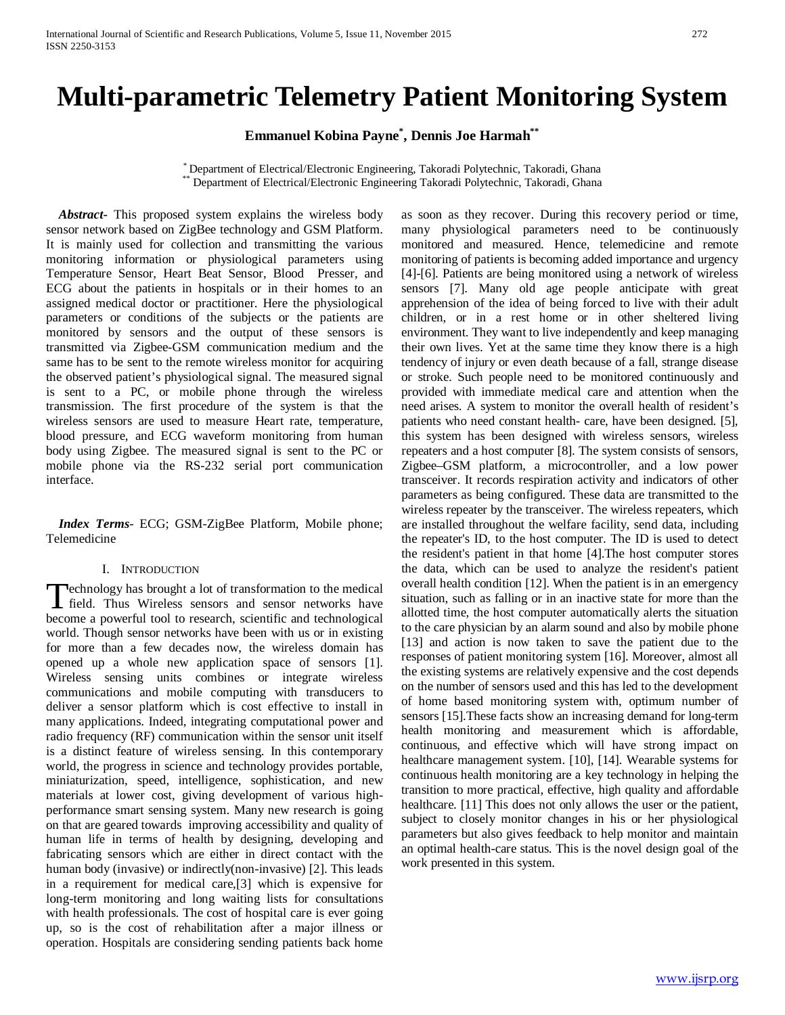# **Multi-parametric Telemetry Patient Monitoring System**

**Emmanuel Kobina Payne\* , Dennis Joe Harmah\*\***

\* Department of Electrical/Electronic Engineering, Takoradi Polytechnic, Takoradi, Ghana \*\* Department of Electrical/Electronic Engineering Takoradi Polytechnic, Takoradi, Ghana

 *Abstract***-** This proposed system explains the wireless body sensor network based on ZigBee technology and GSM Platform. It is mainly used for collection and transmitting the various monitoring information or physiological parameters using Temperature Sensor, Heart Beat Sensor, Blood Presser, and ECG about the patients in hospitals or in their homes to an assigned medical doctor or practitioner. Here the physiological parameters or conditions of the subjects or the patients are monitored by sensors and the output of these sensors is transmitted via Zigbee-GSM communication medium and the same has to be sent to the remote wireless monitor for acquiring the observed patient's physiological signal. The measured signal is sent to a PC, or mobile phone through the wireless transmission. The first procedure of the system is that the wireless sensors are used to measure Heart rate, temperature, blood pressure, and ECG waveform monitoring from human body using Zigbee. The measured signal is sent to the PC or mobile phone via the RS-232 serial port communication interface.

 *Index Terms*- ECG; GSM-ZigBee Platform, Mobile phone; Telemedicine

#### I. INTRODUCTION

echnology has brought a lot of transformation to the medical **F**echnology has brought a lot of transformation to the medical<br>field. Thus Wireless sensors and sensor networks have become a powerful tool to research, scientific and technological world. Though sensor networks have been with us or in existing for more than a few decades now, the wireless domain has opened up a whole new application space of sensors [1]. Wireless sensing units combines or integrate wireless communications and mobile computing with transducers to deliver a sensor platform which is cost effective to install in many applications. Indeed, integrating computational power and radio frequency (RF) communication within the sensor unit itself is a distinct feature of wireless sensing. In this contemporary world, the progress in science and technology provides portable, miniaturization, speed, intelligence, sophistication, and new materials at lower cost, giving development of various highperformance smart sensing system. Many new research is going on that are geared towards improving accessibility and quality of human life in terms of health by designing, developing and fabricating sensors which are either in direct contact with the human body (invasive) or indirectly(non-invasive) [2]. This leads in a requirement for medical care,[3] which is expensive for long-term monitoring and long waiting lists for consultations with health professionals. The cost of hospital care is ever going up, so is the cost of rehabilitation after a major illness or operation. Hospitals are considering sending patients back home

as soon as they recover. During this recovery period or time, many physiological parameters need to be continuously monitored and measured. Hence, telemedicine and remote monitoring of patients is becoming added importance and urgency [4]-[6]. Patients are being monitored using a network of wireless sensors [7]. Many old age people anticipate with great apprehension of the idea of being forced to live with their adult children, or in a rest home or in other sheltered living environment. They want to live independently and keep managing their own lives. Yet at the same time they know there is a high tendency of injury or even death because of a fall, strange disease or stroke. Such people need to be monitored continuously and provided with immediate medical care and attention when the need arises. A system to monitor the overall health of resident's patients who need constant health- care, have been designed. [5], this system has been designed with wireless sensors, wireless repeaters and a host computer [8]. The system consists of sensors, Zigbee–GSM platform, a microcontroller, and a low power transceiver. It records respiration activity and indicators of other parameters as being configured. These data are transmitted to the wireless repeater by the transceiver. The wireless repeaters, which are installed throughout the welfare facility, send data, including the repeater's ID, to the host computer. The ID is used to detect the resident's patient in that home [4].The host computer stores the data, which can be used to analyze the resident's patient overall health condition [12]. When the patient is in an emergency situation, such as falling or in an inactive state for more than the allotted time, the host computer automatically alerts the situation to the care physician by an alarm sound and also by mobile phone [13] and action is now taken to save the patient due to the responses of patient monitoring system [16]. Moreover, almost all the existing systems are relatively expensive and the cost depends on the number of sensors used and this has led to the development of home based monitoring system with, optimum number of sensors [15].These facts show an increasing demand for long-term health monitoring and measurement which is affordable, continuous, and effective which will have strong impact on healthcare management system. [10], [14]. Wearable systems for continuous health monitoring are a key technology in helping the transition to more practical, effective, high quality and affordable healthcare. [11] This does not only allows the user or the patient, subject to closely monitor changes in his or her physiological parameters but also gives feedback to help monitor and maintain an optimal health-care status. This is the novel design goal of the work presented in this system.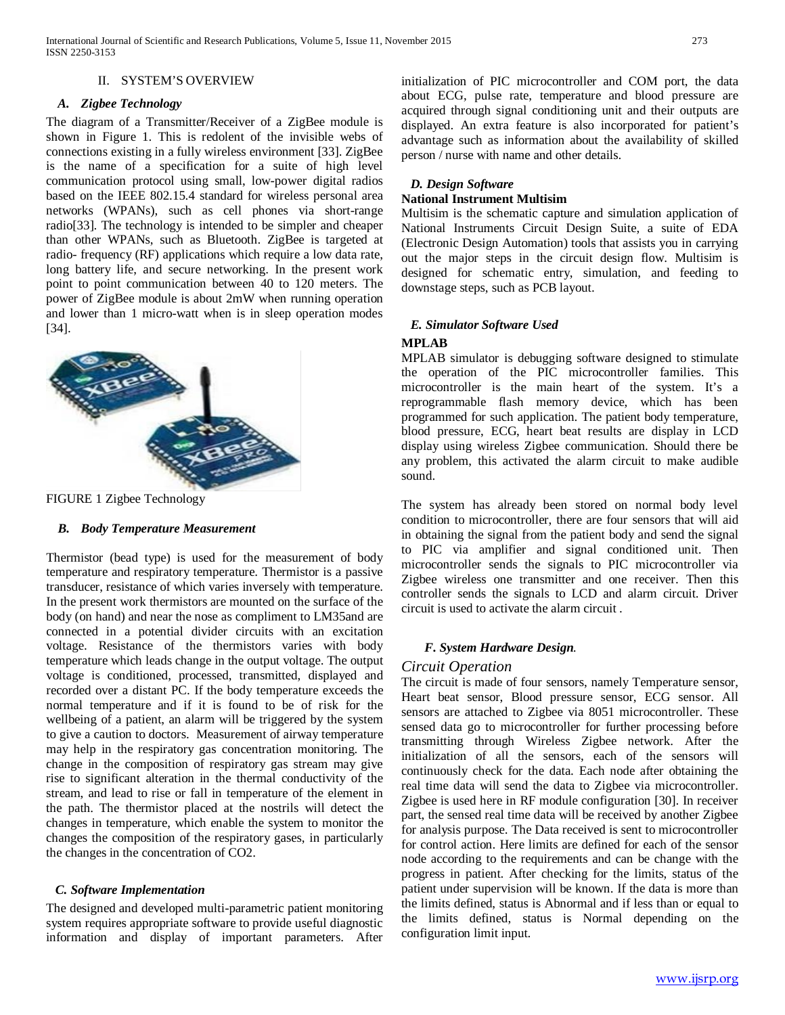#### II. SYSTEM'S OVERVIEW

#### *A. Zigbee Technology*

The diagram of a Transmitter/Receiver of a ZigBee module is shown in Figure 1. This is redolent of the invisible webs of connections existing in a fully wireless environment [33]. ZigBee is the name of a specification for a suite of high level communication protocol using small, low-power digital radios based on the IEEE 802.15.4 standard for wireless personal area networks (WPANs), such as cell phones via short-range radio[33]. The technology is intended to be simpler and cheaper than other WPANs, such as Bluetooth. ZigBee is targeted at radio- frequency (RF) applications which require a low data rate, long battery life, and secure networking. In the present work point to point communication between 40 to 120 meters. The power of ZigBee module is about 2mW when running operation and lower than 1 micro-watt when is in sleep operation modes [34].



FIGURE 1 Zigbee Technology

#### *B. Body Temperature Measurement*

Thermistor (bead type) is used for the measurement of body temperature and respiratory temperature. Thermistor is a passive transducer, resistance of which varies inversely with temperature. In the present work thermistors are mounted on the surface of the body (on hand) and near the nose as compliment to LM35and are connected in a potential divider circuits with an excitation voltage. Resistance of the thermistors varies with body temperature which leads change in the output voltage. The output voltage is conditioned, processed, transmitted, displayed and recorded over a distant PC. If the body temperature exceeds the normal temperature and if it is found to be of risk for the wellbeing of a patient, an alarm will be triggered by the system to give a caution to doctors. Measurement of airway temperature may help in the respiratory gas concentration monitoring. The change in the composition of respiratory gas stream may give rise to significant alteration in the thermal conductivity of the stream, and lead to rise or fall in temperature of the element in the path. The thermistor placed at the nostrils will detect the changes in temperature, which enable the system to monitor the changes the composition of the respiratory gases, in particularly the changes in the concentration of CO2.

#### *C. Software Implementation*

The designed and developed multi-parametric patient monitoring system requires appropriate software to provide useful diagnostic information and display of important parameters. After

initialization of PIC microcontroller and COM port, the data about ECG, pulse rate, temperature and blood pressure are acquired through signal conditioning unit and their outputs are displayed. An extra feature is also incorporated for patient's advantage such as information about the availability of skilled person / nurse with name and other details.

# *D. Design Software*

## **National Instrument Multisim**

Multisim is the schematic capture and simulation application of National Instruments Circuit Design Suite, a suite of EDA (Electronic Design Automation) tools that assists you in carrying out the major steps in the circuit design flow. Multisim is designed for schematic entry, simulation, and feeding to downstage steps, such as PCB layout.

# *E. Simulator Software Used*

# **MPLAB**

MPLAB simulator is debugging software designed to stimulate the operation of the PIC microcontroller families. This microcontroller is the main heart of the system. It's a reprogrammable flash memory device, which has been programmed for such application. The patient body temperature, blood pressure, ECG, heart beat results are display in LCD display using wireless Zigbee communication. Should there be any problem, this activated the alarm circuit to make audible sound.

The system has already been stored on normal body level condition to microcontroller, there are four sensors that will aid in obtaining the signal from the patient body and send the signal to PIC via amplifier and signal conditioned unit. Then microcontroller sends the signals to PIC microcontroller via Zigbee wireless one transmitter and one receiver. Then this controller sends the signals to LCD and alarm circuit. Driver circuit is used to activate the alarm circuit .

#### *F***.** *System Hardware Design.*

#### *Circuit Operation*

The circuit is made of four sensors, namely Temperature sensor, Heart beat sensor, Blood pressure sensor, ECG sensor. All sensors are attached to Zigbee via 8051 microcontroller. These sensed data go to microcontroller for further processing before transmitting through Wireless Zigbee network. After the initialization of all the sensors, each of the sensors will continuously check for the data. Each node after obtaining the real time data will send the data to Zigbee via microcontroller. Zigbee is used here in RF module configuration [30]. In receiver part, the sensed real time data will be received by another Zigbee for analysis purpose. The Data received is sent to microcontroller for control action. Here limits are defined for each of the sensor node according to the requirements and can be change with the progress in patient. After checking for the limits, status of the patient under supervision will be known. If the data is more than the limits defined, status is Abnormal and if less than or equal to the limits defined, status is Normal depending on the configuration limit input.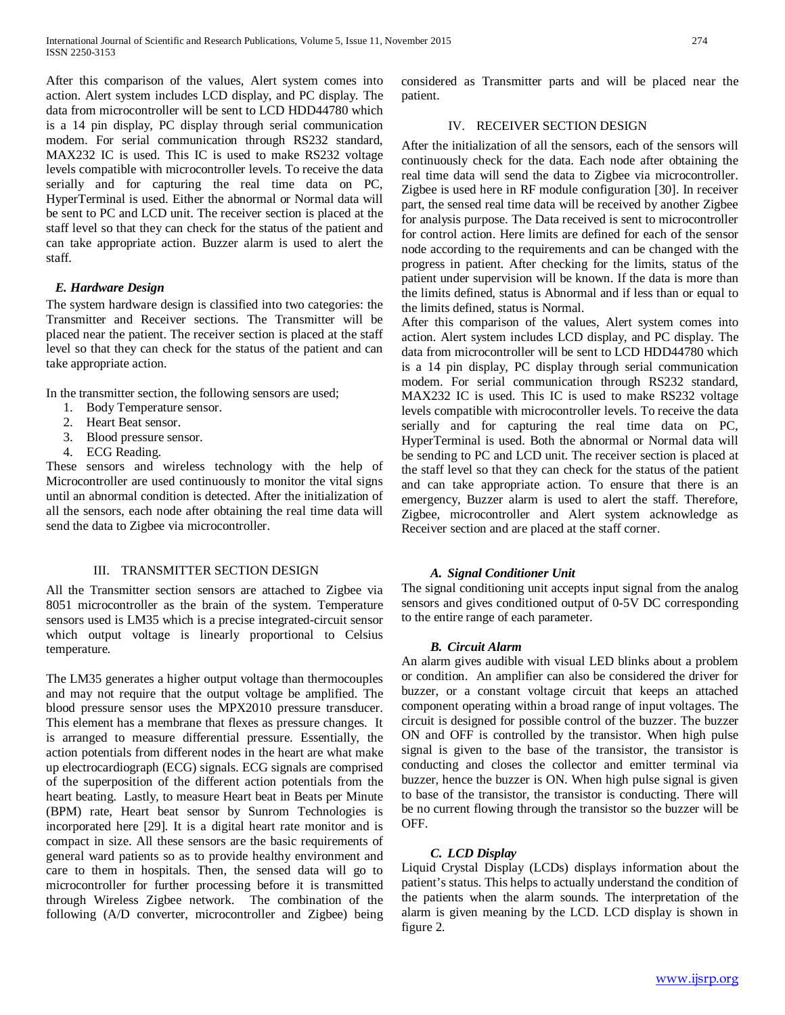After this comparison of the values, Alert system comes into action. Alert system includes LCD display, and PC display. The data from microcontroller will be sent to LCD HDD44780 which is a 14 pin display, PC display through serial communication modem. For serial communication through RS232 standard, MAX232 IC is used. This IC is used to make RS232 voltage levels compatible with microcontroller levels. To receive the data serially and for capturing the real time data on PC, HyperTerminal is used. Either the abnormal or Normal data will be sent to PC and LCD unit. The receiver section is placed at the staff level so that they can check for the status of the patient and can take appropriate action. Buzzer alarm is used to alert the staff.

#### *E. Hardware Design*

The system hardware design is classified into two categories: the Transmitter and Receiver sections. The Transmitter will be placed near the patient. The receiver section is placed at the staff level so that they can check for the status of the patient and can take appropriate action.

In the transmitter section, the following sensors are used;

- 1. Body Temperature sensor.
- 2. Heart Beat sensor.
- 3. Blood pressure sensor.
- 4. ECG Reading.

These sensors and wireless technology with the help of Microcontroller are used continuously to monitor the vital signs until an abnormal condition is detected. After the initialization of all the sensors, each node after obtaining the real time data will send the data to Zigbee via microcontroller.

# III. TRANSMITTER SECTION DESIGN

All the Transmitter section sensors are attached to Zigbee via 8051 microcontroller as the brain of the system. Temperature sensors used is LM35 which is a precise integrated-circuit sensor which output voltage is linearly proportional to Celsius temperature.

The LM35 generates a higher output voltage than thermocouples and may not require that the output voltage be amplified. The blood pressure sensor uses the MPX2010 pressure transducer. This element has a membrane that flexes as pressure changes. It is arranged to measure differential pressure. Essentially, the action potentials from different nodes in the heart are what make up electrocardiograph (ECG) signals. ECG signals are comprised of the superposition of the different action potentials from the heart beating. Lastly, to measure Heart beat in Beats per Minute (BPM) rate, Heart beat sensor by Sunrom Technologies is incorporated here [29]. It is a digital heart rate monitor and is compact in size. All these sensors are the basic requirements of general ward patients so as to provide healthy environment and care to them in hospitals. Then, the sensed data will go to microcontroller for further processing before it is transmitted through Wireless Zigbee network. The combination of the following (A/D converter, microcontroller and Zigbee) being considered as Transmitter parts and will be placed near the patient.

## IV. RECEIVER SECTION DESIGN

After the initialization of all the sensors, each of the sensors will continuously check for the data. Each node after obtaining the real time data will send the data to Zigbee via microcontroller. Zigbee is used here in RF module configuration [30]. In receiver part, the sensed real time data will be received by another Zigbee for analysis purpose. The Data received is sent to microcontroller for control action. Here limits are defined for each of the sensor node according to the requirements and can be changed with the progress in patient. After checking for the limits, status of the patient under supervision will be known. If the data is more than the limits defined, status is Abnormal and if less than or equal to the limits defined, status is Normal.

After this comparison of the values, Alert system comes into action. Alert system includes LCD display, and PC display. The data from microcontroller will be sent to LCD HDD44780 which is a 14 pin display, PC display through serial communication modem. For serial communication through RS232 standard, MAX232 IC is used. This IC is used to make RS232 voltage levels compatible with microcontroller levels. To receive the data serially and for capturing the real time data on PC, HyperTerminal is used. Both the abnormal or Normal data will be sending to PC and LCD unit. The receiver section is placed at the staff level so that they can check for the status of the patient and can take appropriate action. To ensure that there is an emergency, Buzzer alarm is used to alert the staff. Therefore, Zigbee, microcontroller and Alert system acknowledge as Receiver section and are placed at the staff corner.

#### *A. Signal Conditioner Unit*

The signal conditioning unit accepts input signal from the analog sensors and gives conditioned output of 0-5V DC corresponding to the entire range of each parameter.

#### *B. Circuit Alarm*

An alarm gives audible with visual LED blinks about a problem or condition. An amplifier can also be considered the driver for buzzer, or a constant voltage circuit that keeps an attached component operating within a broad range of input voltages. The circuit is designed for possible control of the buzzer. The buzzer ON and OFF is controlled by the transistor. When high pulse signal is given to the base of the transistor, the transistor is conducting and closes the collector and emitter terminal via buzzer, hence the buzzer is ON. When high pulse signal is given to base of the transistor, the transistor is conducting. There will be no current flowing through the transistor so the buzzer will be OFF.

### *C. LCD Display*

Liquid Crystal Display (LCDs) displays information about the patient's status. This helps to actually understand the condition of the patients when the alarm sounds. The interpretation of the alarm is given meaning by the LCD. LCD display is shown in figure 2.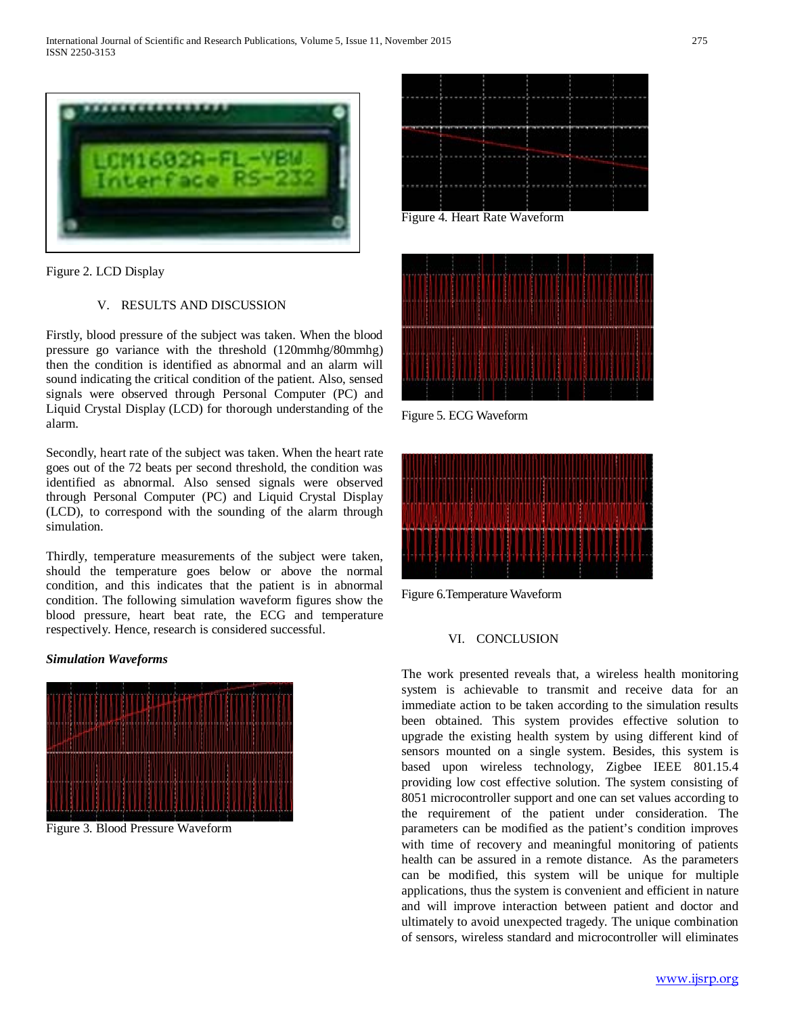

Figure 2. LCD Display

# V. RESULTS AND DISCUSSION

Firstly, blood pressure of the subject was taken. When the blood pressure go variance with the threshold (120mmhg/80mmhg) then the condition is identified as abnormal and an alarm will sound indicating the critical condition of the patient. Also, sensed signals were observed through Personal Computer (PC) and Liquid Crystal Display (LCD) for thorough understanding of the alarm.

Secondly, heart rate of the subject was taken. When the heart rate goes out of the 72 beats per second threshold, the condition was identified as abnormal. Also sensed signals were observed through Personal Computer (PC) and Liquid Crystal Display (LCD), to correspond with the sounding of the alarm through simulation.

Thirdly, temperature measurements of the subject were taken, should the temperature goes below or above the normal condition, and this indicates that the patient is in abnormal condition. The following simulation waveform figures show the blood pressure, heart beat rate, the ECG and temperature respectively. Hence, research is considered successful.

#### *Simulation Waveforms*

![](_page_3_Figure_8.jpeg)

Figure 3. Blood Pressure Waveform

![](_page_3_Figure_10.jpeg)

Figure 4. Heart Rate Waveform

![](_page_3_Figure_12.jpeg)

Figure 5. ECG Waveform

![](_page_3_Figure_14.jpeg)

Figure 6.Temperature Waveform

#### VI. CONCLUSION

The work presented reveals that, a wireless health monitoring system is achievable to transmit and receive data for an immediate action to be taken according to the simulation results been obtained. This system provides effective solution to upgrade the existing health system by using different kind of sensors mounted on a single system. Besides, this system is based upon wireless technology, Zigbee IEEE 801.15.4 providing low cost effective solution. The system consisting of 8051 microcontroller support and one can set values according to the requirement of the patient under consideration. The parameters can be modified as the patient's condition improves with time of recovery and meaningful monitoring of patients health can be assured in a remote distance. As the parameters can be modified, this system will be unique for multiple applications, thus the system is convenient and efficient in nature and will improve interaction between patient and doctor and ultimately to avoid unexpected tragedy. The unique combination of sensors, wireless standard and microcontroller will eliminates